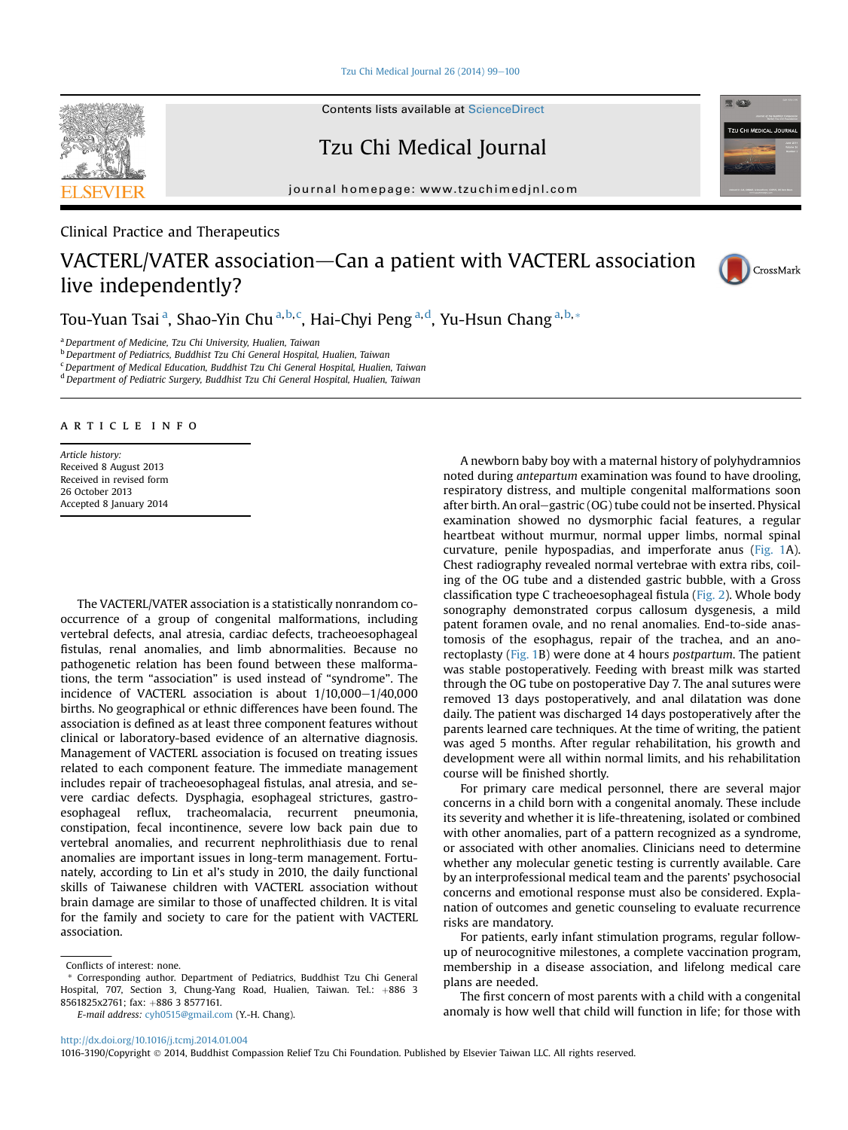[Tzu Chi Medical Journal 26 \(2014\) 99](http://dx.doi.org/10.1016/j.tcmj.2014.01.004)-[100](http://dx.doi.org/10.1016/j.tcmj.2014.01.004)



Contents lists available at [ScienceDirect](www.sciencedirect.com/science/journal/10163190)

Tzu Chi Medical Journal

journal homepage: [www.tzuchimedjnl.com](http://www.tzuchimedjnl.com)



## VACTERL/VATER association–Can a patient with VACTERL association live independently?



CrossMark

**TZU CHI MEDICAL JOUR** 

**RELACE** 

Tou-Yuan Tsai <sup>a</sup>, Shao-Yin Chu <sup>a, b, c</sup>, Hai-Chyi Peng <sup>a, d</sup>, Yu-Hsun Chang <sup>a, b, \*</sup>

<sup>a</sup> Department of Medicine, Tzu Chi University, Hualien, Taiwan

<sup>b</sup> Department of Pediatrics, Buddhist Tzu Chi General Hospital, Hualien, Taiwan

<sup>c</sup>Department of Medical Education, Buddhist Tzu Chi General Hospital, Hualien, Taiwan

<sup>d</sup> Department of Pediatric Surgery, Buddhist Tzu Chi General Hospital, Hualien, Taiwan

## article info

Article history: Received 8 August 2013 Received in revised form 26 October 2013 Accepted 8 January 2014

The VACTERL/VATER association is a statistically nonrandom cooccurrence of a group of congenital malformations, including vertebral defects, anal atresia, cardiac defects, tracheoesophageal fistulas, renal anomalies, and limb abnormalities. Because no pathogenetic relation has been found between these malformations, the term "association" is used instead of "syndrome". The incidence of VACTERL association is about  $1/10,000-1/40,000$ births. No geographical or ethnic differences have been found. The association is defined as at least three component features without clinical or laboratory-based evidence of an alternative diagnosis. Management of VACTERL association is focused on treating issues related to each component feature. The immediate management includes repair of tracheoesophageal fistulas, anal atresia, and severe cardiac defects. Dysphagia, esophageal strictures, gastroesophageal reflux, tracheomalacia, recurrent pneumonia, constipation, fecal incontinence, severe low back pain due to vertebral anomalies, and recurrent nephrolithiasis due to renal anomalies are important issues in long-term management. Fortunately, according to Lin et al's study in 2010, the daily functional skills of Taiwanese children with VACTERL association without brain damage are similar to those of unaffected children. It is vital for the family and society to care for the patient with VACTERL association.

E-mail address: [cyh0515@gmail.com](mailto:cyh0515@gmail.com) (Y.-H. Chang).

A newborn baby boy with a maternal history of polyhydramnios noted during antepartum examination was found to have drooling, respiratory distress, and multiple congenital malformations soon after birth. An oral-gastric (OG) tube could not be inserted. Physical examination showed no dysmorphic facial features, a regular heartbeat without murmur, normal upper limbs, normal spinal curvature, penile hypospadias, and imperforate anus [\(Fig. 1](#page-1-0)A). Chest radiography revealed normal vertebrae with extra ribs, coiling of the OG tube and a distended gastric bubble, with a Gross classification type C tracheoesophageal fistula [\(Fig. 2](#page-1-0)). Whole body sonography demonstrated corpus callosum dysgenesis, a mild patent foramen ovale, and no renal anomalies. End-to-side anastomosis of the esophagus, repair of the trachea, and an anorectoplasty ([Fig. 1](#page-1-0)B) were done at 4 hours postpartum. The patient was stable postoperatively. Feeding with breast milk was started through the OG tube on postoperative Day 7. The anal sutures were removed 13 days postoperatively, and anal dilatation was done daily. The patient was discharged 14 days postoperatively after the parents learned care techniques. At the time of writing, the patient was aged 5 months. After regular rehabilitation, his growth and development were all within normal limits, and his rehabilitation course will be finished shortly.

For primary care medical personnel, there are several major concerns in a child born with a congenital anomaly. These include its severity and whether it is life-threatening, isolated or combined with other anomalies, part of a pattern recognized as a syndrome, or associated with other anomalies. Clinicians need to determine whether any molecular genetic testing is currently available. Care by an interprofessional medical team and the parents' psychosocial concerns and emotional response must also be considered. Explanation of outcomes and genetic counseling to evaluate recurrence risks are mandatory.

For patients, early infant stimulation programs, regular followup of neurocognitive milestones, a complete vaccination program, membership in a disease association, and lifelong medical care plans are needed.

The first concern of most parents with a child with a congenital anomaly is how well that child will function in life; for those with

<http://dx.doi.org/10.1016/j.tcmj.2014.01.004>

1016-3190/Copyright 2014, Buddhist Compassion Relief Tzu Chi Foundation. Published by Elsevier Taiwan LLC. All rights reserved.

Conflicts of interest: none.

Corresponding author. Department of Pediatrics, Buddhist Tzu Chi General Hospital, 707, Section 3, Chung-Yang Road, Hualien, Taiwan. Tel.: +886 3 8561825x2761; fax: +886 3 8577161.